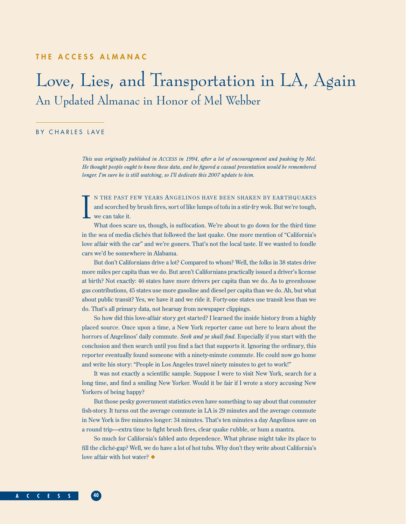## **THE ACCESS ALMANAC**

## Love, Lies, and Transportation in LA, Again An Updated Almanac in Honor of Mel Webber

## BY CHARLES LAVE

*This was originally published in ACCESS in 1994, after a lot of encouragement and pushing by Mel. He thought people ought to know these data, and he figured a casual presentation would be remembered longer. I'm sure he is still watching, so I'll dedicate this 2007 update to him.* 

I N THE PAST FEW YEARS ANGELINOS HAVE BEEN SHAKEN BY EARTHQUAKES and scorched by brush fires, sort of like lumps of tofu in a stir-fry wok. But we're tough, we can take it.

What does scare us, though, is suffocation. We're about to go down for the third time in the sea of media clichés that followed the last quake. One more mention of "California's love affair with the car" and we're goners. That's not the local taste. If we wanted to fondle cars we'd be somewhere in Alabama.

But don't Californians drive a lot? Compared to whom? Well, the folks in 38 states drive more miles per capita than we do. But aren't Californians practically issued a driver's license at birth? Not exactly: 46 states have more drivers per capita than we do. As to greenhouse gas contributions, 45 states use more gasoline and diesel per capita than we do. Ah, but what about public transit? Yes, we have it and we ride it. Forty-one states use transit less than we do. That's all primary data, not hearsay from newspaper clippings.

So how did this love-affair story get started? I learned the inside history from a highly placed source. Once upon a time, a New York reporter came out here to learn about the horrors of Angelinos' daily commute. *Seek and ye shall find*. Especially if you start with the conclusion and then search until you find a fact that supports it. Ignoring the ordinary, this reporter eventually found someone with a ninety-minute commute. He could now go home and write his story: "People in Los Angeles travel ninety minutes to get to work!"

It was not exactly a scientific sample. Suppose I were to visit New York, search for a long time, and find a smiling New Yorker. Would it be fair if I wrote a story accusing New Yorkers of being happy?

But those pesky government statistics even have something to say about that commuter fish-story. It turns out the average commute in LA is 29 minutes and the average commute in New York is five minutes longer: 34 minutes. That's ten minutes a day Angelinos save on a round trip—extra time to fight brush fires, clear quake rubble, or hum a mantra.

So much for California's fabled auto dependence. What phrase might take its place to fill the cliché-gap? Well, we do have a lot of hot tubs. Why don't they write about California's love affair with hot water? ◆

**A C C E S S 40**